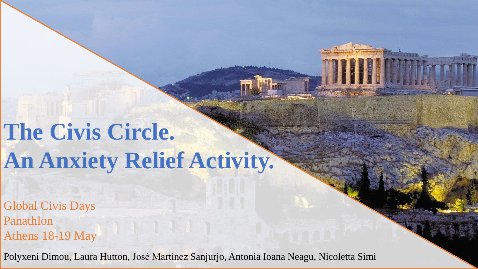## **The Civis Circle. An Anxiety Relief Activity.**

Global Civis Days Panathlon Athens 18-19 May

Polyxeni Dimou, Laura Hutton, José Martínez Sanjurjo, Antonia Ioana Neagu, Nicoletta Simi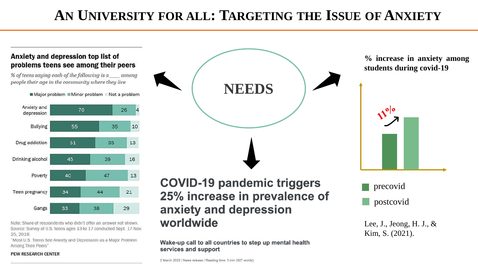#### **AN UNIVERSITY FOR ALL: TARGETING THE ISSUE OF ANXIETY**

#### Anxiety and depression top list of problems teens see among their peers

% of teens saying each of the following is a amona people their age in the community where they live

Major problem Minor problem Not a problem



Note: Share of respondents who didn't offer an answer not shown. Source: Survey of U.S. teens ages 13 to 17 conducted Sept. 17-Nov. 25, 2018.

"Most U.S. Teens See Anxiety and Depression as a Major Problem Among Their Peers"

#### PEW RESEARCH CENTER



**% increase in anxiety among students during covid-19**



**COVID-19 pandemic triggers** 25% increase in prevalence of anxiety and depression worldwide

Wake-up call to all countries to step up mental health services and support

2 March 2022 | News release | Reading time: 3 min (927 words)

#### postcovid precovid

Lee, J., Jeong, H. J., & Kim, S. (2021).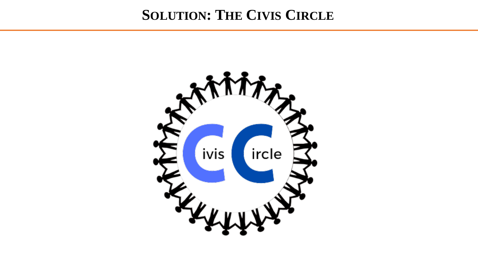#### **SOLUTION: THE CIVIS CIRCLE**

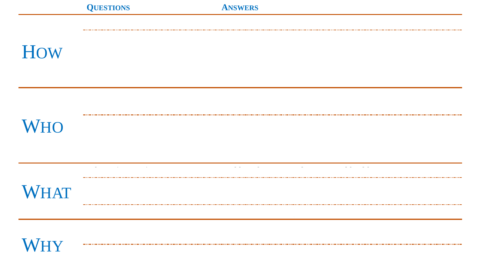### **How**

## **WHO**



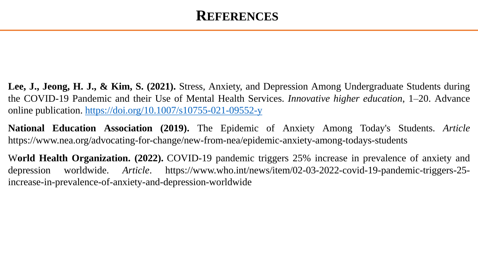#### **REFERENCES**

**Lee, J., Jeong, H. J., & Kim, S. (2021).** Stress, Anxiety, and Depression Among Undergraduate Students during the COVID-19 Pandemic and their Use of Mental Health Services. *Innovative higher education*, 1–20. Advance online publication. <https://doi.org/10.1007/s10755-021-09552-y>

**National Education Association (2019).** The Epidemic of Anxiety Among Today's Students. *Article* https://www.nea.org/advocating-for-change/new-from-nea/epidemic-anxiety-among-todays-students

W**orld Health Organization. (2022).** COVID-19 pandemic triggers 25% increase in prevalence of anxiety and depression worldwide. *Article*. https://www.who.int/news/item/02-03-2022-covid-19-pandemic-triggers-25 increase-in-prevalence-of-anxiety-and-depression-worldwide